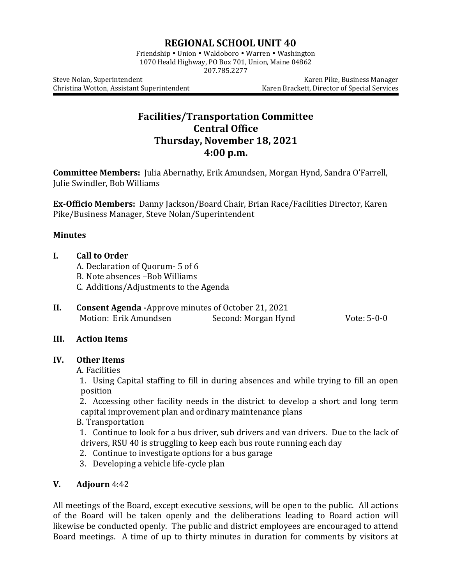# **REGIONAL SCHOOL UNIT 40**

Friendship • Union • Waldoboro • Warren • Washington 1070 Heald Highway, PO Box 701, Union, Maine 04862 207.785.2277

Steve Nolan, Superintendent **Karen Pike, Business Manager** Karen Pike, Business Manager Christina Wotton, Assistant Superintendent Karen Brackett, Director of Special Services

# **Facilities/Transportation Committee Central Office Thursday, November 18, 2021 4:00 p.m.**

**Committee Members:** Julia Abernathy, Erik Amundsen, Morgan Hynd, Sandra O'Farrell, Julie Swindler, Bob Williams

**Ex-Officio Members:** Danny Jackson/Board Chair, Brian Race/Facilities Director, Karen Pike/Business Manager, Steve Nolan/Superintendent

## **Minutes**

#### **I. Call to Order**

- A. Declaration of Quorum- 5 of 6
- B. Note absences –Bob Williams
- C. Additions/Adjustments to the Agenda
- **II. Consent Agenda -**Approve minutes of October 21, 2021 Motion: Erik Amundsen Second: Morgan Hynd Vote: 5-0-0

#### **III. Action Items**

#### **IV. Other Items**

A. Facilities

1. Using Capital staffing to fill in during absences and while trying to fill an open position

2. Accessing other facility needs in the district to develop a short and long term capital improvement plan and ordinary maintenance plans

B. Transportation

1. Continue to look for a bus driver, sub drivers and van drivers. Due to the lack of drivers, RSU 40 is struggling to keep each bus route running each day

- 2. Continue to investigate options for a bus garage
- 3. Developing a vehicle life-cycle plan

## **V. Adjourn** 4:42

All meetings of the Board, except executive sessions, will be open to the public. All actions of the Board will be taken openly and the deliberations leading to Board action will likewise be conducted openly. The public and district employees are encouraged to attend Board meetings. A time of up to thirty minutes in duration for comments by visitors at